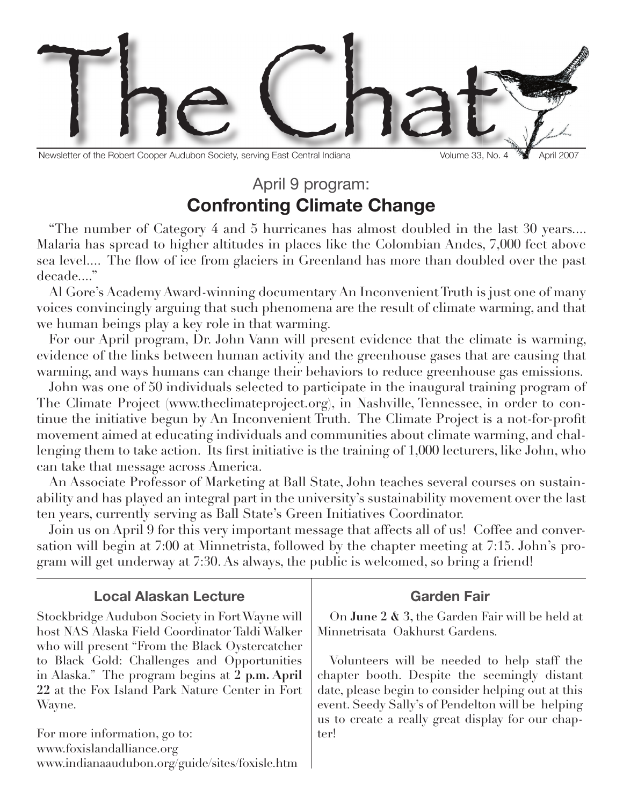

Newsletter of the Robert Cooper Audubon Society, serving East Central Indiana Volume 33, No. 4 April 2007

## April 9 program: **Confronting Climate Change**

"The number of Category 4 and 5 hurricanes has almost doubled in the last 30 years.... Malaria has spread to higher altitudes in places like the Colombian Andes, 7,000 feet above sea level.... The flow of ice from glaciers in Greenland has more than doubled over the past decade...."

Al Gore's Academy Award-winning documentary An Inconvenient Truth is just one of many voices convincingly arguing that such phenomena are the result of climate warming, and that we human beings play a key role in that warming.

For our April program, Dr. John Vann will present evidence that the climate is warming, evidence of the links between human activity and the greenhouse gases that are causing that warming, and ways humans can change their behaviors to reduce greenhouse gas emissions.

John was one of 50 individuals selected to participate in the inaugural training program of The Climate Project (www.theclimateproject.org), in Nashville, Tennessee, in order to continue the initiative begun by An Inconvenient Truth. The Climate Project is a not-for-profit movement aimed at educating individuals and communities about climate warming, and challenging them to take action. Its first initiative is the training of 1,000 lecturers, like John, who can take that message across America.

An Associate Professor of Marketing at Ball State, John teaches several courses on sustainability and has played an integral part in the university's sustainability movement over the last ten years, currently serving as Ball State's Green Initiatives Coordinator.

Join us on April 9 for this very important message that affects all of us! Coffee and conversation will begin at 7:00 at Minnetrista, followed by the chapter meeting at 7:15. John's program will get underway at 7:30. As always, the public is welcomed, so bring a friend!

| <b>Local Alaskan Lecture</b>                    | <b>Garden Fair</b>                                 |
|-------------------------------------------------|----------------------------------------------------|
| Stockbridge Audubon Society in Fort Wayne will  | On June 2 & 3, the Garden Fair will be held at     |
| host NAS Alaska Field Coordinator Taldi Walker  | Minnetrisata Oakhurst Gardens.                     |
| who will present "From the Black Oystercatcher" |                                                    |
| to Black Gold: Challenges and Opportunities     | Volunteers will be needed to help staff the        |
| in Alaska." The program begins at 2 p.m. April  | chapter booth. Despite the seemingly distant       |
| 22 at the Fox Island Park Nature Center in Fort | date, please begin to consider helping out at this |
| Wayne.                                          | event. Seedy Sally's of Pendelton will be helping  |
|                                                 | us to create a really great display for our chap-  |
| For more information, go to:                    | ler!                                               |
| www.foxislandalliance.org                       |                                                    |
| www.indianaaudubon.org/guide/sites/foxisle.htm  |                                                    |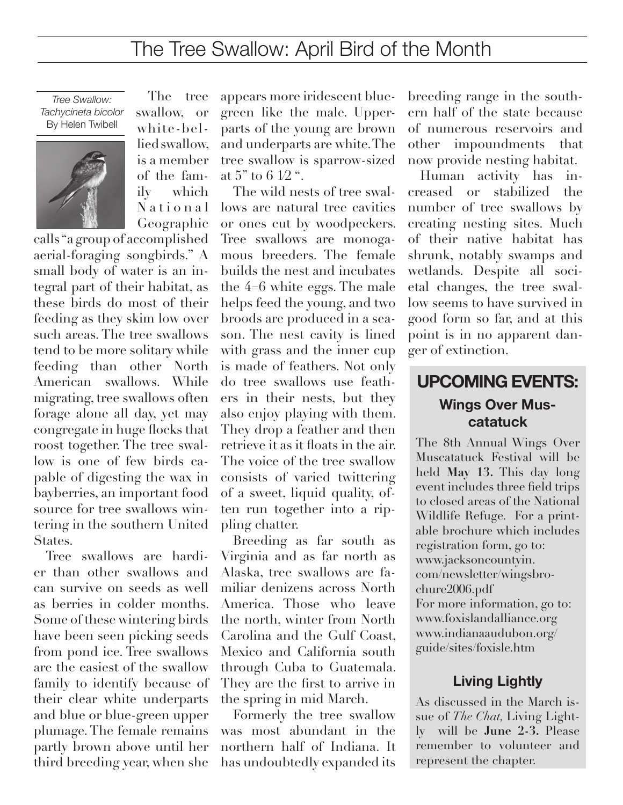# The Tree Swallow: April Bird of the Month

*Tree Swallow: Tachycineta bicolor* By Helen Twibell



The tree swallow, or white-bellied swallow, is a member of the family which N a t i o n a l

Geographic calls "a group of accomplished aerial-foraging songbirds." A small body of water is an integral part of their habitat, as these birds do most of their feeding as they skim low over such areas. The tree swallows tend to be more solitary while feeding than other North American swallows. While migrating, tree swallows often forage alone all day, yet may congregate in huge flocks that roost together. The tree swallow is one of few birds capable of digesting the wax in bayberries, an important food source for tree swallows wintering in the southern United States.

Tree swallows are hardier than other swallows and can survive on seeds as well as berries in colder months. Some of these wintering birds have been seen picking seeds from pond ice. Tree swallows are the easiest of the swallow family to identify because of their clear white underparts and blue or blue-green upper plumage. The female remains partly brown above until her third breeding year, when she

appears more iridescent bluegreen like the male. Upperparts of the young are brown and underparts are white. The tree swallow is sparrow-sized at 5" to 6 1⁄2 ".

The wild nests of tree swallows are natural tree cavities or ones cut by woodpeckers. Tree swallows are monogamous breeders. The female builds the nest and incubates the 4=6 white eggs. The male helps feed the young, and two broods are produced in a season. The nest cavity is lined with grass and the inner cup is made of feathers. Not only do tree swallows use feathers in their nests, but they also enjoy playing with them. They drop a feather and then retrieve it as it floats in the air. The voice of the tree swallow consists of varied twittering of a sweet, liquid quality, often run together into a rippling chatter.

Breeding as far south as Virginia and as far north as Alaska, tree swallows are familiar denizens across North America. Those who leave the north, winter from North Carolina and the Gulf Coast, Mexico and California south through Cuba to Guatemala. They are the first to arrive in the spring in mid March.

Formerly the tree swallow was most abundant in the northern half of Indiana. It has undoubtedly expanded its breeding range in the southern half of the state because of numerous reservoirs and other impoundments that now provide nesting habitat.

Human activity has increased or stabilized the number of tree swallows by creating nesting sites. Much of their native habitat has shrunk, notably swamps and wetlands. Despite all societal changes, the tree swallow seems to have survived in good form so far, and at this point is in no apparent danger of extinction.

### **UPCOMING EVENTS: Wings Over Muscatatuck**

The 8th Annual Wings Over Muscatatuck Festival will be held **May 13.** This day long event includes three field trips to closed areas of the National Wildlife Refuge. For a printable brochure which includes registration form, go to: www.jacksoncountyin. com/newsletter/wingsbrochure2006.pdf For more information, go to: www.foxislandalliance.org www.indianaaudubon.org/ guide/sites/foxisle.htm

#### **Living Lightly**

As discussed in the March issue of *The Chat,* Living Lightly will be **June 2-3.** Please remember to volunteer and represent the chapter.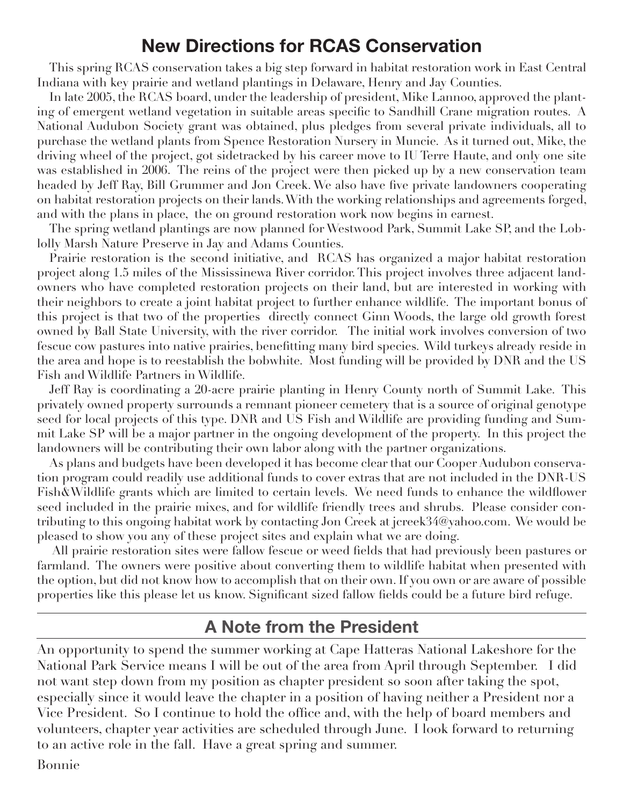## **New Directions for RCAS Conservation**

This spring RCAS conservation takes a big step forward in habitat restoration work in East Central Indiana with key prairie and wetland plantings in Delaware, Henry and Jay Counties.

In late 2005, the RCAS board, under the leadership of president, Mike Lannoo, approved the planting of emergent wetland vegetation in suitable areas specific to Sandhill Crane migration routes. A National Audubon Society grant was obtained, plus pledges from several private individuals, all to purchase the wetland plants from Spence Restoration Nursery in Muncie. As it turned out, Mike, the driving wheel of the project, got sidetracked by his career move to IU Terre Haute, and only one site was established in 2006. The reins of the project were then picked up by a new conservation team headed by Jeff Ray, Bill Grummer and Jon Creek. We also have five private landowners cooperating on habitat restoration projects on their lands. With the working relationships and agreements forged, and with the plans in place, the on ground restoration work now begins in earnest.

The spring wetland plantings are now planned for Westwood Park, Summit Lake SP, and the Loblolly Marsh Nature Preserve in Jay and Adams Counties.

Prairie restoration is the second initiative, and RCAS has organized a major habitat restoration project along 1.5 miles of the Mississinewa River corridor. This project involves three adjacent landowners who have completed restoration projects on their land, but are interested in working with their neighbors to create a joint habitat project to further enhance wildlife. The important bonus of this project is that two of the properties directly connect Ginn Woods, the large old growth forest owned by Ball State University, with the river corridor. The initial work involves conversion of two fescue cow pastures into native prairies, benefitting many bird species. Wild turkeys already reside in the area and hope is to reestablish the bobwhite. Most funding will be provided by DNR and the US Fish and Wildlife Partners in Wildlife.

Jeff Ray is coordinating a 20-acre prairie planting in Henry County north of Summit Lake. This privately owned property surrounds a remnant pioneer cemetery that is a source of original genotype seed for local projects of this type. DNR and US Fish and Wildlife are providing funding and Summit Lake SP will be a major partner in the ongoing development of the property. In this project the landowners will be contributing their own labor along with the partner organizations.

As plans and budgets have been developed it has become clear that our Cooper Audubon conservation program could readily use additional funds to cover extras that are not included in the DNR-US Fish&Wildlife grants which are limited to certain levels. We need funds to enhance the wildflower seed included in the prairie mixes, and for wildlife friendly trees and shrubs. Please consider contributing to this ongoing habitat work by contacting Jon Creek at jcreek34@yahoo.com. We would be pleased to show you any of these project sites and explain what we are doing.

 All prairie restoration sites were fallow fescue or weed fields that had previously been pastures or farmland. The owners were positive about converting them to wildlife habitat when presented with the option, but did not know how to accomplish that on their own. If you own or are aware of possible properties like this please let us know. Significant sized fallow fields could be a future bird refuge.

### **A Note from the President**

An opportunity to spend the summer working at Cape Hatteras National Lakeshore for the National Park Service means I will be out of the area from April through September. I did not want step down from my position as chapter president so soon after taking the spot, especially since it would leave the chapter in a position of having neither a President nor a Vice President. So I continue to hold the office and, with the help of board members and volunteers, chapter year activities are scheduled through June. I look forward to returning to an active role in the fall. Have a great spring and summer.

Bonnie